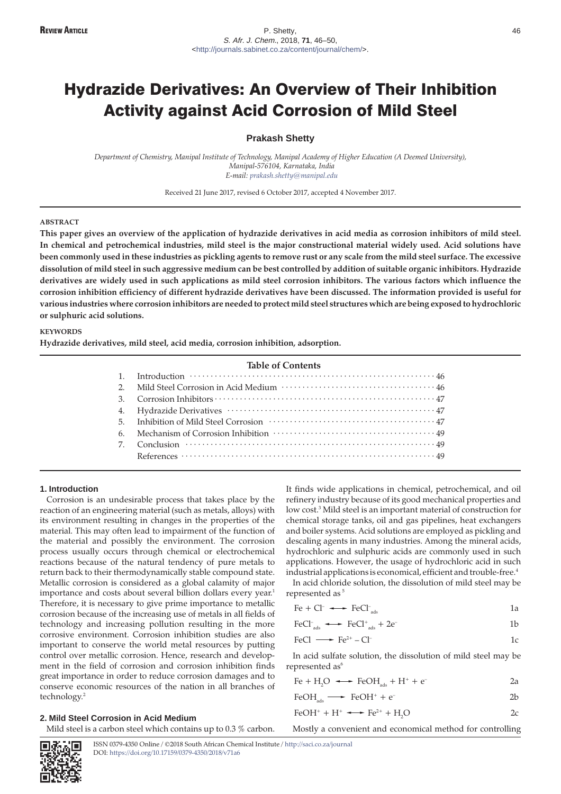# Hydrazide Derivatives: An Overview of Their Inhibition Activity against Acid Corrosion of Mild Steel

# **Prakash Shetty**

*Department of Chemistry, Manipal Institute of Technology, Manipal Academy of Higher Education (A Deemed University), Manipal-576104, Karnataka, India E-mail: [prakash.shetty@manipal.edu](mailto:prakash.shetty@manipal.edu)*

Received 21 June 2017, revised 6 October 2017, accepted 4 November 2017.

## **ABSTRACT**

**This paper gives an overview of the application of hydrazide derivatives in acid media as corrosion inhibitors of mild steel. In chemical and petrochemical industries, mild steel is the major constructional material widely used. Acid solutions have been commonly used in these industries as pickling agents to remove rust or any scale from the mild steel surface. The excessive dissolution of mild steel in such aggressive medium can be best controlled by addition of suitable organic inhibitors. Hydrazide derivatives are widely used in such applications as mild steel corrosion inhibitors. The various factors which influence the corrosion inhibition efficiency of different hydrazide derivatives have been discussed. The information provided is useful for various industries where corrosion inhibitors are needed to protect mild steel structures which are being exposed to hydrochloric or sulphuric acid solutions.**

### **KEYWORDS**

**Hydrazide derivatives, mild steel, acid media, corrosion inhibition, adsorption.**

|    | <b>Table of Contents</b> |
|----|--------------------------|
| 1. |                          |
|    |                          |
| 3. |                          |
|    |                          |
|    |                          |
|    |                          |
| 7. |                          |
|    |                          |

#### **1. Introduction**

Corrosion is an undesirable process that takes place by the reaction of an engineering material (such as metals, alloys) with its environment resulting in changes in the properties of the material. This may often lead to impairment of the function of the material and possibly the environment. The corrosion process usually occurs through chemical or electrochemical reactions because of the natural tendency of pure metals to return back to their thermodynamically stable compound state. Metallic corrosion is considered as a global calamity of major importance and costs about several billion dollars every year.<sup>1</sup> Therefore, it is necessary to give prime importance to metallic corrosion because of the increasing use of metals in all fields of technology and increasing pollution resulting in the more corrosive environment. Corrosion inhibition studies are also important to conserve the world metal resources by putting control over metallic corrosion. Hence, research and development in the field of corrosion and corrosion inhibition finds great importance in order to reduce corrosion damages and to conserve economic resources of the nation in all branches of technology.2

## **2. Mild Steel Corrosion in Acid Medium**

Mild steel is a carbon steel which contains up to 0.3 % carbon.

It finds wide applications in chemical, petrochemical, and oil refinery industry because of its good mechanical properties and low cost.<sup>3</sup> Mild steel is an important material of construction for chemical storage tanks, oil and gas pipelines, heat exchangers and boiler systems. Acid solutions are employed as pickling and descaling agents in many industries. Among the mineral acids, hydrochloric and sulphuric acids are commonly used in such applications. However, the usage of hydrochloric acid in such industrial applications is economical, efficient and trouble-free.<sup>4</sup>

In acid chloride solution, the dissolution of mild steel may be represented as<sup>5</sup>

$$
FeCl+ads \longleftrightarrow FeCl+ads + 2e-
$$
 1b

$$
FeCl \longrightarrow Fe^{2+} - Cl^{-} \qquad 1c
$$

In acid sulfate solution, the dissolution of mild steel may be represented as<sup>6</sup>

$$
\text{Fe} + \text{H}_2\text{O} \longrightarrow \text{FeOH}_{\text{ads}} + \text{H}^+ + \text{e}^-
$$

$$
FeOHads \longrightarrow FeOH+ + e-
$$
 2b

$$
FeOH^+ + H^+ \longrightarrow Fe^{2+} + H_2O \qquad \qquad 2c
$$

Mostly a convenient and economical method for controlling

ISSN 0379-4350 Online / ©2018 South African Chemical Institute / <http://saci.co.za/journal> DOI: <https://doi.org/10.17159/0379-4350/2018/v71a6>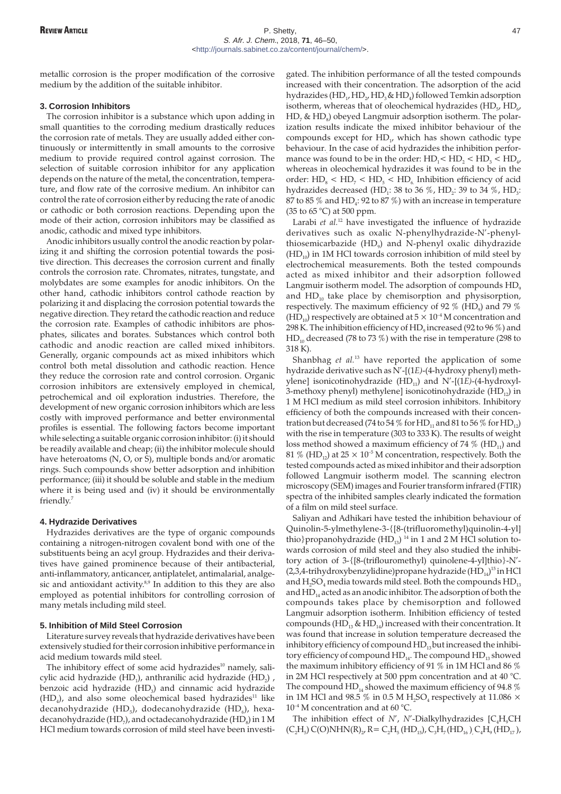metallic corrosion is the proper modification of the corrosive medium by the addition of the suitable inhibitor.

### **3. Corrosion Inhibitors**

The corrosion inhibitor is a substance which upon adding in small quantities to the corroding medium drastically reduces the corrosion rate of metals. They are usually added either continuously or intermittently in small amounts to the corrosive medium to provide required control against corrosion. The selection of suitable corrosion inhibitor for any application depends on the nature of the metal, the concentration, temperature, and flow rate of the corrosive medium. An inhibitor can control the rate of corrosion either by reducing the rate of anodic or cathodic or both corrosion reactions. Depending upon the mode of their action, corrosion inhibitors may be classified as anodic, cathodic and mixed type inhibitors.

Anodic inhibitors usually control the anodic reaction by polarizing it and shifting the corrosion potential towards the positive direction. This decreases the corrosion current and finally controls the corrosion rate. Chromates, nitrates, tungstate, and molybdates are some examples for anodic inhibitors. On the other hand, cathodic inhibitors control cathode reaction by polarizing it and displacing the corrosion potential towards the negative direction. They retard the cathodic reaction and reduce the corrosion rate. Examples of cathodic inhibitors are phosphates, silicates and borates. Substances which control both cathodic and anodic reaction are called mixed inhibitors. Generally, organic compounds act as mixed inhibitors which control both metal dissolution and cathodic reaction. Hence they reduce the corrosion rate and control corrosion. Organic corrosion inhibitors are extensively employed in chemical, petrochemical and oil exploration industries. Therefore, the development of new organic corrosion inhibitors which are less costly with improved performance and better environmental profiles is essential. The following factors become important while selecting a suitable organic corrosion inhibitor: (i) it should be readily available and cheap; (ii) the inhibitor molecule should have heteroatoms (N, O, or S), multiple bonds and/or aromatic rings. Such compounds show better adsorption and inhibition performance; (iii) it should be soluble and stable in the medium where it is being used and (iv) it should be environmentally friendly.7

#### **4. Hydrazide Derivatives**

Hydrazides derivatives are the type of organic compounds containing a nitrogen-nitrogen covalent bond with one of the substituents being an acyl group. Hydrazides and their derivatives have gained prominence because of their antibacterial, anti-inflammatory, anticancer, antiplatelet, antimalarial, analgesic and antioxidant activity. $8,9$  In addition to this they are also employed as potential inhibitors for controlling corrosion of many metals including mild steel.

## **5. Inhibition of Mild Steel Corrosion**

Literature survey reveals that hydrazide derivatives have been extensively studied for their corrosion inhibitive performance in acid medium towards mild steel.

The inhibitory effect of some acid hydrazides $10$  namely, salicylic acid hydrazide (HD<sub>1</sub>), anthranilic acid hydrazide (HD<sub>2</sub>), benzoic acid hydrazide (HD<sub>3</sub>) and cinnamic acid hydrazide  $(HD<sub>4</sub>)$ , and also some oleochemical based hydrazides<sup>11</sup> like decanohydrazide (HD<sub>5</sub>), dodecanohydrazide (HD<sub>6</sub>), hexadecanohydrazide (HD<sub>7</sub>), and octadecanohydrazide (HD<sub> $3$ </sub>) in 1 M HCl medium towards corrosion of mild steel have been investigated. The inhibition performance of all the tested compounds increased with their concentration. The adsorption of the acid hydrazides (HD<sub>1</sub>, HD<sub>2</sub>, HD<sub>3</sub>& HD<sub>4</sub>) followed Temkin adsorption isotherm, whereas that of oleochemical hydrazides (HD $_{5}$ , HD $_{6}$ ,  $HD_7 \& HD_8$ ) obeyed Langmuir adsorption isotherm. The polarization results indicate the mixed inhibitor behaviour of the compounds except for  $HD<sub>1</sub>$ , which has shown cathodic type behaviour. In the case of acid hydrazides the inhibition performance was found to be in the order:  $HD_1 < HD_2 < HD_3 < HD_4$ , whereas in oleochemical hydrazides it was found to be in the order:  $HD_8 < HD_7 < HD_5 < HD_6$ . Inhibition efficiency of acid hydrazides decreased (HD<sub>1</sub>: 38 to 36  $\%$ , HD<sub>2</sub>: 39 to 34  $\%$ , HD<sub>3</sub>: 87 to 85  $%$  and HD<sub>4</sub>: 92 to 87  $%$ ) with an increase in temperature (35 to 65 °C) at 500 ppm.

Larabi *et al.*<sup>12</sup> have investigated the influence of hydrazide derivatives such as oxalic N-phenylhydrazide-N'-phenylthiosemicarbazide (HD<sub>9</sub>) and N-phenyl oxalic dihydrazide  $(HD<sub>10</sub>)$  in 1M HCl towards corrosion inhibition of mild steel by electrochemical measurements. Both the tested compounds acted as mixed inhibitor and their adsorption followed Langmuir isotherm model. The adsorption of compounds  $HD<sub>o</sub>$ and  $HD<sub>10</sub>$  take place by chemisorption and physisorption, respectively. The maximum efficiency of 92  $\%$  (HD<sub>0</sub>) and 79  $\%$ (HD<sub>10</sub>) respectively are obtained at  $5 \times 10^{-4}$  M concentration and 298 K. The inhibition efficiency of HD<sub>0</sub> increased (92 to 96  $\%$ ) and  $HD<sub>10</sub>$  decreased (78 to 73 %) with the rise in temperature (298 to 318 K).

Shanbhag *et al.*<sup>13</sup> have reported the application of some hydrazide derivative such as N'-[(1*E)*-(4-hydroxy phenyl) methylene] isonicotinohydrazide  $(HD_{11})$  and  $N'$ -[(1*E*)-(4-hydroxyl-3-methoxy phenyl) methylene] isonicotinohydrazide  $(HD_{12})$  in 1 M HCl medium as mild steel corrosion inhibitors. Inhibitory efficiency of both the compounds increased with their concentration but decreased (74 to 54  $\%$  for HD<sub>11</sub> and 81 to 56  $\%$  for HD<sub>12</sub>) with the rise in temperature (303 to 333 K). The results of weight loss method showed a maximum efficiency of 74  $%$  (HD<sub>11</sub>) and 81 % (HD<sub>12</sub>) at 25  $\times$  10<sup>-5</sup> M concentration, respectively. Both the tested compounds acted as mixed inhibitor and their adsorption followed Langmuir isotherm model. The scanning electron microscopy (SEM) images and Fourier transform infrared (FTIR) spectra of the inhibited samples clearly indicated the formation of a film on mild steel surface.

Saliyan and Adhikari have tested the inhibition behaviour of Quinolin-5-ylmethylene-3-{[8-(trifluoromethyl)quinolin-4-yl] thio}propanohydrazide ( $HD_{13}$ )<sup>14</sup> in 1 and 2 M HCl solution towards corrosion of mild steel and they also studied the inhibitory action of 3-{[8-(triflouromethyl) quinolene-4-yl]thio}-N'- (2,3,4-trihydroxybenzylidine)propane hydrazide (HD $_{\rm 14}$ ) $^{\rm 15}$  in HCl and  $H_2SO_4$  media towards mild steel. Both the compounds  $HD_{13}$ and  $HD_{14}$  acted as an anodic inhibitor. The adsorption of both the compounds takes place by chemisorption and followed Langmuir adsorption isotherm. Inhibition efficiency of tested compounds (HD<sub>13</sub> & HD<sub>14</sub>) increased with their concentration. It was found that increase in solution temperature decreased the inhibitory efficiency of compound  $HD_{13}$ but increased the inhibitory efficiency of compound  $HD_{14}$ . The compound  $HD_{13}$  showed the maximum inhibitory efficiency of 91 % in 1M HCl and 86 % in 2M HCl respectively at 500 ppm concentration and at 40 °C. The compound  $HD_{14}$  showed the maximum efficiency of 94.8 % in 1M HCl and 98.5 % in 0.5 M H<sub>2</sub>SO<sub>4</sub> respectively at 11.086  $\times$  $10^{-4}$  M concentration and at 60 °C.

The inhibition effect of  $N'$ ,  $N'$ -Dialkylhydrazides  $[C<sub>a</sub>H<sub>a</sub>CH]$  $(C_2H_5)$  C(O)NHN(R)<sub>2</sub>, R = C<sub>2</sub>H<sub>5</sub> (HD<sub>15</sub>), C<sub>3</sub>H<sub>7</sub> (HD<sub>16</sub>), C<sub>4</sub>H<sub>9</sub> (HD<sub>17</sub>),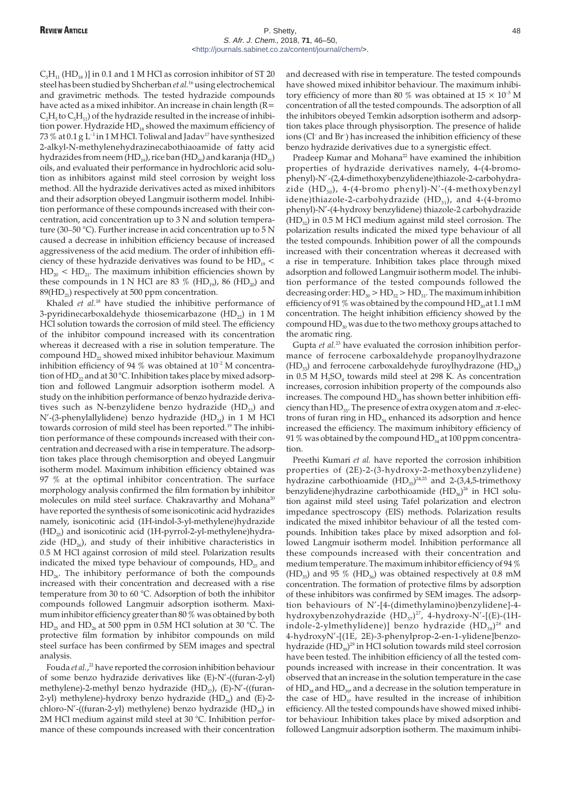$C_5H_{11}$  (HD<sub>18</sub>)] in 0.1 and 1 M HCl as corrosion inhibitor of ST 20 steel has been studied by Shcherban *et al.*<sup>16</sup> using electrochemical and gravimetric methods. The tested hydrazide compounds have acted as a mixed inhibitor. An increase in chain length (R=  $C_2H_5$  to  $C_5H_{11}$ ) of the hydrazide resulted in the increase of inhibition power. Hydrazide  $HD_{18}$  showed the maximum efficiency of 73 % at 0.1 g  $L^{-1}$  in 1 M HCl. Toliwal and Jadav<sup>17</sup> have synthesized 2-alkyl-N-methylenehydrazinecabothiaoamide of fatty acid hydrazides from neem (HD<sub>19</sub>), rice ban (HD<sub>20</sub>) and karanja (HD<sub>21</sub>) oils, and evaluated their performance in hydrochloric acid solution as inhibitors against mild steel corrosion by weight loss method. All the hydrazide derivatives acted as mixed inhibitors and their adsorption obeyed Langmuir isotherm model. Inhibition performance of these compounds increased with their concentration, acid concentration up to 3 N and solution temperature (30–50 °C). Further increase in acid concentration up to 5 N caused a decrease in inhibition efficiency because of increased aggressiveness of the acid medium. The order of inhibition efficiency of these hydrazide derivatives was found to be  $HD_{19}$  <  $HD<sub>20</sub> < HD<sub>21</sub>$ . The maximum inhibition efficiencies shown by these compounds in 1 N HCl are 83 % (HD<sub>19</sub>), 86 (HD<sub>20</sub>) and 89(HD<sub>21</sub>) respectively at 500 ppm concentration.

Khaled *et al.*<sup>18</sup> have studied the inhibitive performance of 3-pyridinecarboxaldehyde thiosemicarbazone  $(HD_{22})$  in 1 M HCl solution towards the corrosion of mild steel. The efficiency of the inhibitor compound increased with its concentration whereas it decreased with a rise in solution temperature. The compound HD<sub>22</sub> showed mixed inhibitor behaviour. Maximum inhibition efficiency of 94 % was obtained at  $10^{-2}$  M concentration of  $HD_{22}$  and at 30 °C. Inhibition takes place by mixed adsorption and followed Langmuir adsorption isotherm model. A study on the inhibition performance of benzo hydrazide derivatives such as N-benzylidene benzo hydrazide  $(HD_{23})$  and N'-(3-phenylallylidene) benzo hydrazide (HD<sub>24</sub>) in 1 M HCl towards corrosion of mild steel has been reported.<sup>19</sup> The inhibition performance of these compounds increased with their concentration and decreased with a rise in temperature. The adsorption takes place through chemisorption and obeyed Langmuir isotherm model. Maximum inhibition efficiency obtained was 97 % at the optimal inhibitor concentration. The surface morphology analysis confirmed the film formation by inhibitor molecules on mild steel surface. Chakravarthy and Mohana<sup>20</sup> have reported the synthesis of some isonicotinic acid hydrazides namely, isonicotinic acid (1H-indol-3-yl-methylene)hydrazide  $(HD_{25})$  and isonicotinic acid (1H-pyrrol-2-yl-methylene)hydrazide  $(HD<sub>26</sub>)$ , and study of their inhibitive characteristics in 0.5 M HCl against corrosion of mild steel. Polarization results indicated the mixed type behaviour of compounds,  $HD_{25}$  and  $HD<sub>26</sub>$ . The inhibitory performance of both the compounds increased with their concentration and decreased with a rise temperature from 30 to 60 °C. Adsorption of both the inhibitor compounds followed Langmuir adsorption isotherm. Maximum inhibitor efficiency greater than 80 % was obtained by both  $HD_{25}$  and  $HD_{26}$  at 500 ppm in 0.5M HCl solution at 30 °C. The protective film formation by inhibitor compounds on mild steel surface has been confirmed by SEM images and spectral analysis.

Fouda *et al.*, <sup>21</sup> have reported the corrosion inhibition behaviour of some benzo hydrazide derivatives like (E)-N'-((furan-2-yl) methylene)-2-methyl benzo hydrazide (HD<sub> $27$ </sub>), (E)-N'-((furan-2-yl) methylene)-hydroxy benzo hydrazide  $(HD_{28})$  and  $(E)-2$ chloro-N'-((furan-2-yl) methylene) benzo hydrazide (HD<sub>29</sub>) in 2M HCl medium against mild steel at 30 °C. Inhibition performance of these compounds increased with their concentration and decreased with rise in temperature. The tested compounds have showed mixed inhibitor behaviour. The maximum inhibitory efficiency of more than 80 % was obtained at  $15 \times 10^{-5}$  M concentration of all the tested compounds. The adsorption of all the inhibitors obeyed Temkin adsorption isotherm and adsorption takes place through physisorption. The presence of halide ions (Cl– and Br– ) has increased the inhibition efficiency of these benzo hydrazide derivatives due to a synergistic effect.

Pradeep Kumar and Mohana<sup>22</sup> have examined the inhibition properties of hydrazide derivatives namely, 4-(4-bromophenyl)-N'-(2,4-dimethoxybenzylidene)thiazole-2-carbohydrazide  $(HD_{30})$ , 4-(4-bromo phenyl)-N'-(4-methoxybenzyl idene)thiazole-2-carbohydrazide  $(HD_{31})$ , and 4-(4-bromo phenyl)-N'-(4-hydroxy benzylidene) thiazole-2 carbohydrazide  $(HD_{32})$  in 0.5 M HCl medium against mild steel corrosion. The polarization results indicated the mixed type behaviour of all the tested compounds. Inhibition power of all the compounds increased with their concentration whereas it decreased with a rise in temperature. Inhibition takes place through mixed adsorption and followed Langmuir isotherm model. The inhibition performance of the tested compounds followed the decreasing order:  $HD_{30} > HD_{32} > HD_{31}$ . The maximum inhibition efficiency of 91 % was obtained by the compound  $HD_{30}$ at 1.1 mM concentration. The height inhibition efficiency showed by the compound  $HD_{30}$  was due to the two methoxy groups attached to the aromatic ring.

Gupta *et al.*<sup>23</sup> have evaluated the corrosion inhibition performance of ferrocene carboxaldehyde propanoylhydrazone  $(HD_{33})$  and ferrocene carboxaldehyde furoylhydrazone  $(HD_{34})$ in  $0.5$  M H<sub>2</sub>SO<sub>4</sub> towards mild steel at 298 K. As concentration increases, corrosion inhibition property of the compounds also increases. The compound  $HD_{34}$  has shown better inhibition efficiency than  $HD_{33}$ . The presence of extra oxygen atom and  $\pi$ -electrons of furan ring in  $HD_{34}$  enhanced its adsorption and hence increased the efficiency. The maximum inhibitory efficiency of 91 % was obtained by the compound  $HD<sub>34</sub>$  at 100 ppm concentration.

Preethi Kumari *et al.* have reported the corrosion inhibition properties of (2E)-2-(3-hydroxy-2-methoxybenzylidene) hydrazine carbothioamide  $(HD_{35})^{24,25}$  and 2-(3,4,5-trimethoxy benzylidene)hydrazine carbothioamide  $(\mathrm{HD}_{36})^{26}$  in HCl solution against mild steel using Tafel polarization and electron impedance spectroscopy (EIS) methods. Polarization results indicated the mixed inhibitor behaviour of all the tested compounds. Inhibition takes place by mixed adsorption and followed Langmuir isotherm model. Inhibition performance all these compounds increased with their concentration and medium temperature. The maximum inhibitor efficiency of 94 % (HD<sub>35</sub>) and 95 % (HD<sub>36</sub>) was obtained respectively at 0.8 mM concentration. The formation of protective films by adsorption of these inhibitors was confirmed by SEM images. The adsorption behaviours of N'-[4-(dimethylamino)benzylidene]-4 hydroxybenzohydrazide  $(HD_{37})^{27}$ , 4-hydroxy-N'-[(E)-(1Hindole-2-ylmethylidene)] benzo hydrazide  ${\rm (HD_{_{38}})^{_{28}}}$  and 4-hydroxyN'-[(1E, 2E)-3-phenylprop-2-en-1-ylidene]benzohydrazide  ${\rm (HD_{\rm \scriptscriptstyle 39})^{\rm 29}}$  in HCl solution towards mild steel corrosion have been tested. The inhibition efficiency of all the tested compounds increased with increase in their concentration. It was observed that an increase in the solution temperature in the case of  $HD_{38}$  and  $HD_{39}$  and a decrease in the solution temperature in the case of  $HD_{37}$  have resulted in the increase of inhibition efficiency. All the tested compounds have showed mixed inhibitor behaviour. Inhibition takes place by mixed adsorption and followed Langmuir adsorption isotherm. The maximum inhibi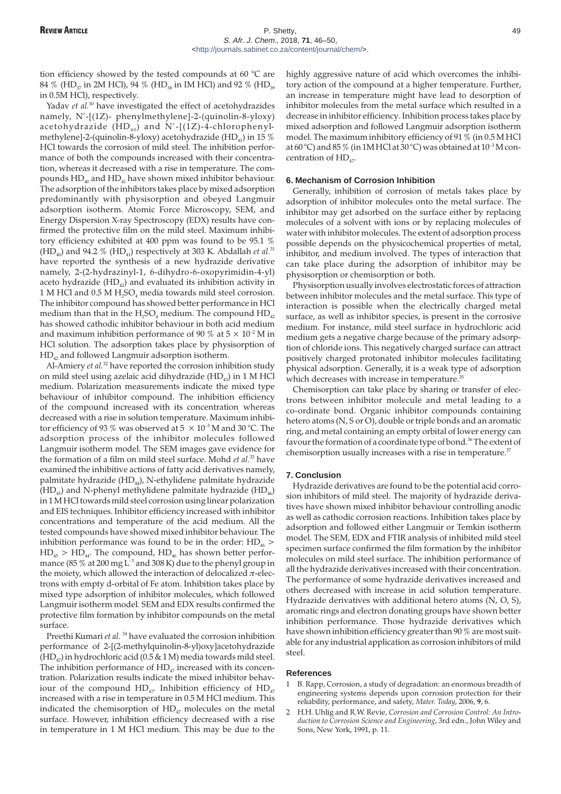tion efficiency showed by the tested compounds at 60 °C are 84 % (HD<sub>37</sub> in 2M HCl), 94 % (HD<sub>38</sub> in IM HCl) and 92 % (HD<sub>39</sub> in 0.5M HCl), respectively.

Yadav *et al.*<sup>30</sup> have investigated the effect of acetohydrazides namely, N'-[(1Z)- phenylmethylene]-2-(quinolin-8-yloxy) acetohydrazide  $(HD_{40})$  and N'-[(1Z)-4-chlorophenylmethylene]-2-(quinolin-8-yloxy) acetohydrazide (HD<sub>41</sub>) in 15 % HCl towards the corrosion of mild steel. The inhibition performance of both the compounds increased with their concentration, whereas it decreased with a rise in temperature. The compounds  $HD_{40}$  and  $HD_{41}$  have shown mixed inhibitor behaviour. The adsorption of the inhibitors takes place by mixed adsorption predominantly with physisorption and obeyed Langmuir adsorption isotherm. Atomic Force Microscopy, SEM, and Energy Dispersion X-ray Spectroscopy (EDX) results have confirmed the protective film on the mild steel. Maximum inhibitory efficiency exhibited at 400 ppm was found to be 95.1 % (HD<sub>40</sub>) and 94.2 % (HD<sub>41</sub>) respectively at 303 K. Abdallah *et al.*<sup>31</sup> have reported the synthesis of a new hydrazide derivative namely, 2-(2-hydrazinyl-1, 6-dihydro-6-oxopyrimidin-4-yl) aceto hydrazide  $(HD_{42})$  and evaluated its inhibition activity in 1 M HCl and 0.5 M  $H_2SO_4$  media towards mild steel corrosion. The inhibitor compound has showed better performance in HCl medium than that in the  $H_2SO_4$  medium. The compound  $HD_{42}$ has showed cathodic inhibitor behaviour in both acid medium and maximum inhibition performance of 90 % at  $5 \times 10^{-2}$  M in HCl solution. The adsorption takes place by physisorption of HD42 and followed Langmuir adsorption isotherm.

Al-Amiery *et al.*<sup>32</sup> have reported the corrosion inhibition study on mild steel using azelaic acid dihydrazide (HD<sub>43</sub>) in 1 M HCl medium. Polarization measurements indicate the mixed type behaviour of inhibitor compound. The inhibition efficiency of the compound increased with its concentration, whereas decreased with a rise in solution temperature. Maximum inhibitor efficiency of 93 % was observed at  $5 \times 10^{-3}$  M and 30 °C. The adsorption process of the inhibitor molecules followed Langmuir isotherm model. The SEM images gave evidence for the formation of a film on mild steel surface. Mohd *et al.*<sup>33</sup> have examined the inhibitive actions of fatty acid derivatives namely, palmitate hydrazide  $(HD_{44})$ , N-ethylidene palmitate hydrazide  $(HD_{45})$  and N-phenyl methylidene palmitate hydrazide (HD<sub>46</sub>) in 1 M HCl towards mild steel corrosion using linear polarization and EIS techniques. Inhibitor efficiency increased with inhibitor concentrations and temperature of the acid medium. All the tested compounds have showed mixed inhibitor behaviour. The inhibition performance was found to be in the order:  $HD_{46}$  >  $HD_{45} > HD_{44}$ . The compound,  $HD_{46}$  has shown better performance (85  $\%$  at 200 mg L<sup>-1</sup> and 308 K) due to the phenyl group in the moiety, which allowed the interaction of delocalized  $\pi$ -electrons with empty d-orbital of Fe atom. Inhibition takes place by mixed type adsorption of inhibitor molecules, which followed Langmuir isotherm model. SEM and EDX results confirmed the protective film formation by inhibitor compounds on the metal surface.

Preethi Kumari *et al.* <sup>34</sup> have evaluated the corrosion inhibition performance of 2-[(2-methylquinolin-8-yl)oxy]acetohydrazide  $(HD_{47})$  in hydrochloric acid (0.5 & 1 M) media towards mild steel. The inhibition performance of  $HD_{47}$  increased with its concentration. Polarization results indicate the mixed inhibitor behaviour of the compound  $HD_{47}$ . Inhibition efficiency of  $HD_{47}$ increased with a rise in temperature in 0.5 M HCl medium. This indicated the chemisorption of  $HD_{47}$  molecules on the metal surface. However, inhibition efficiency decreased with a rise in temperature in 1 M HCl medium. This may be due to the

highly aggressive nature of acid which overcomes the inhibitory action of the compound at a higher temperature. Further, an increase in temperature might have lead to desorption of inhibitor molecules from the metal surface which resulted in a decrease in inhibitor efficiency. Inhibition process takes place by mixed adsorption and followed Langmuir adsorption isotherm model. The maximum inhibitory efficiency of 91 % (in 0.5 M HCl at 60 °C) and 85 % (in 1MHCl at 30 °C) was obtained at 10<sup>-3</sup> M concentration of  $HD_{47}$ .

## **6. Mechanism of Corrosion Inhibition**

Generally, inhibition of corrosion of metals takes place by adsorption of inhibitor molecules onto the metal surface. The inhibitor may get adsorbed on the surface either by replacing molecules of a solvent with ions or by replacing molecules of water with inhibitor molecules. The extent of adsorption process possible depends on the physicochemical properties of metal, inhibitor, and medium involved. The types of interaction that can take place during the adsorption of inhibitor may be physisorption or chemisorption or both.

Physisorption usually involves electrostatic forces of attraction between inhibitor molecules and the metal surface. This type of interaction is possible when the electrically charged metal surface, as well as inhibitor species, is present in the corrosive medium. For instance, mild steel surface in hydrochloric acid medium gets a negative charge because of the primary adsorption of chloride ions. This negatively charged surface can attract positively charged protonated inhibitor molecules facilitating physical adsorption. Generally, it is a weak type of adsorption which decreases with increase in temperature.<sup>35</sup>

Chemisorption can take place by sharing or transfer of electrons between inhibitor molecule and metal leading to a co-ordinate bond. Organic inhibitor compounds containing hetero atoms (N, S or O), double or triple bonds and an aromatic ring, and metal containing an empty orbital of lower energy can favour the formation of a coordinate type of bond.<sup>36</sup> The extent of chemisorption usually increases with a rise in temperature.<sup>37</sup>

#### **7. Conclusion**

Hydrazide derivatives are found to be the potential acid corrosion inhibitors of mild steel. The majority of hydrazide derivatives have shown mixed inhibitor behaviour controlling anodic as well as cathodic corrosion reactions. Inhibition takes place by adsorption and followed either Langmuir or Temkin isotherm model. The SEM, EDX and FTIR analysis of inhibited mild steel specimen surface confirmed the film formation by the inhibitor molecules on mild steel surface. The inhibition performance of all the hydrazide derivatives increased with their concentration. The performance of some hydrazide derivatives increased and others decreased with increase in acid solution temperature. Hydrazide derivatives with additional hetero atoms (N, O, S), aromatic rings and electron donating groups have shown better inhibition performance. Those hydrazide derivatives which have shown inhibition efficiency greater than 90 % are most suitable for any industrial application as corrosion inhibitors of mild steel.

#### **References**

- 1 B. Rapp, Corrosion, a study of degradation: an enormous breadth of engineering systems depends upon corrosion protection for their reliability, performance, and safety, *Mater. Today*, 2006, **9**, 6.
- 2 H.H. Uhlig and R.W. Revie, *Corrosion and Corrosion Control: An Introduction to Corrosion Science and Engineering*, 3rd edn., John Wiley and Sons, New York, 1991, p. 11.